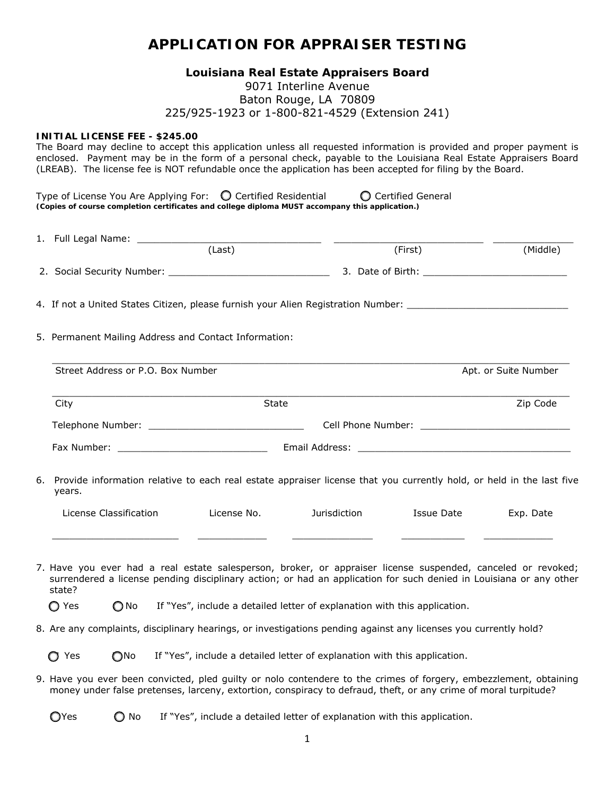# **APPLICATION FOR APPRAISER TESTING**

## **Louisiana Real Estate Appraisers Board**

## 9071 Interline Avenue Baton Rouge, LA 70809 225/925-1923 or 1-800-821-4529 (Extension 241)

### **INITIAL LICENSE FEE - \$245.00**

The Board may decline to accept this application unless all requested information is provided and proper payment is enclosed. Payment may be in the form of a personal check, payable to the Louisiana Real Estate Appraisers Board (LREAB). The license fee is NOT refundable once the application has been accepted for filing by the Board.

| Type of License You Are Applying For: $\bigcirc$ Certified Residential                          |  | C Certified General |  |  |  |  |  |
|-------------------------------------------------------------------------------------------------|--|---------------------|--|--|--|--|--|
| (Copies of course completion certificates and college diploma MUST accompany this application.) |  |                     |  |  |  |  |  |

| 1. Full Legal Name: _______                                                                                                                                                                                                                                                                                                                                  |  |              |                                                                                                                      |                      |                      |  |  |
|--------------------------------------------------------------------------------------------------------------------------------------------------------------------------------------------------------------------------------------------------------------------------------------------------------------------------------------------------------------|--|--------------|----------------------------------------------------------------------------------------------------------------------|----------------------|----------------------|--|--|
|                                                                                                                                                                                                                                                                                                                                                              |  | (Last)       |                                                                                                                      | (First)              | (Middle)             |  |  |
|                                                                                                                                                                                                                                                                                                                                                              |  |              |                                                                                                                      |                      |                      |  |  |
|                                                                                                                                                                                                                                                                                                                                                              |  |              | 4. If not a United States Citizen, please furnish your Alien Registration Number: ____________________________       |                      |                      |  |  |
| 5. Permanent Mailing Address and Contact Information:                                                                                                                                                                                                                                                                                                        |  |              |                                                                                                                      |                      |                      |  |  |
| Street Address or P.O. Box Number                                                                                                                                                                                                                                                                                                                            |  |              |                                                                                                                      |                      | Apt. or Suite Number |  |  |
| City                                                                                                                                                                                                                                                                                                                                                         |  | <b>State</b> |                                                                                                                      |                      | Zip Code             |  |  |
|                                                                                                                                                                                                                                                                                                                                                              |  |              |                                                                                                                      |                      |                      |  |  |
|                                                                                                                                                                                                                                                                                                                                                              |  |              |                                                                                                                      |                      |                      |  |  |
| 6. Provide information relative to each real estate appraiser license that you currently hold, or held in the last five<br>years.                                                                                                                                                                                                                            |  |              |                                                                                                                      |                      |                      |  |  |
| License Classification                                                                                                                                                                                                                                                                                                                                       |  | License No.  | Jurisdiction                                                                                                         | Issue Date Exp. Date |                      |  |  |
| 7. Have you ever had a real estate salesperson, broker, or appraiser license suspended, canceled or revoked;<br>surrendered a license pending disciplinary action; or had an application for such denied in Louisiana or any other<br>state?<br>If "Yes", include a detailed letter of explanation with this application.<br>$\bigcirc$ Yes<br>$\bigcirc$ No |  |              |                                                                                                                      |                      |                      |  |  |
|                                                                                                                                                                                                                                                                                                                                                              |  |              |                                                                                                                      |                      |                      |  |  |
|                                                                                                                                                                                                                                                                                                                                                              |  |              | 8. Are any complaints, disciplinary hearings, or investigations pending against any licenses you currently hold?     |                      |                      |  |  |
| $\bigcirc$ No<br>$\bigcirc$ Yes                                                                                                                                                                                                                                                                                                                              |  |              | If "Yes", include a detailed letter of explanation with this application.                                            |                      |                      |  |  |
|                                                                                                                                                                                                                                                                                                                                                              |  |              | 0. There were accepted a security of a state of the contradicts to the college of four-out and contradicts about the |                      |                      |  |  |

9. Have you ever been convicted, pled guilty or nolo contendere to the crimes of forgery, embezzlement, obtaining money under false pretenses, larceny, extortion, conspiracy to defraud, theft, or any crime of moral turpitude?

 $\bigcirc$  Yes  $\bigcirc$  No If "Yes", include a detailed letter of explanation with this application.